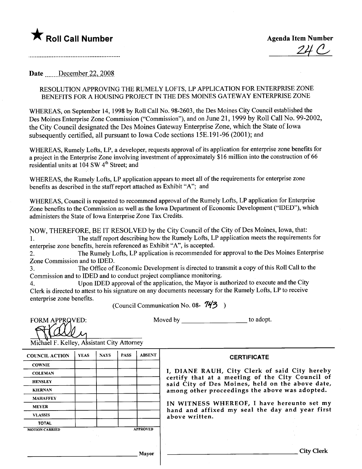# **\*** Roll Call Number Agenda Item Number

 $240^{1}$ 

Date December 22, 2008

## RESOLUTION APPROVING THE RUMELY LOFTS, LP APPLICATION FOR ENTERPRISE ZONE BENEFITS FOR A HOUSING PROJECT IN THE DES MOINES GATEWAY ENTERPRISE ZONE

WHREAS, on September 14, 1998 by Roll Call No. 98-2603, the Des Moines City Council established the Des Moines Enterprise Zone Commission ("Commission"), and on June 21, 1999 by Roll Call No. 99-2002, the City Council designated the Des Moines Gateway Enterprise Zone, which the State of Iowa subsequently certified, all pursuant to Iowa Code sections 15E.191-96 (2001); and

WHREAS, Rumely Lofts, LP, a developer, requests approval of its application for enterprise zone benefits for a project in the Enterprise Zone involving investment of approximately \$16 milion into the construction of 66 residential units at 104 SW 4<sup>th</sup> Street; and

WHEREAS, the Rumely Lofts, LP application appears to meet all of the requirements for enterprise zone benefits as described in the staff report attached as Exhibit "A"; and

WHREAS, Council is requested to recommend approval of the Rumely Lofts, LP application for Enterprise Zone benefits to the Commission as well as the Iowa Department of Economic Development ("IDED"), which administers the State of Iowa Enterprise Zone Tax Credits.

NOW, THEREFORE, BE IT RESOLVED by the City Council of the City of Des Moines, Iowa, that: 1. The staff report describing how the Rumely Lofts, LP application meets the requirements for enterprise zone benefits, herein referenced as Exhibit "A", is accepted.

2. The Rumely Lofts, LP application is recommended for approval to the Des Moines Enterprise Zone Commission and to IDED.

3. The Office of Economic Development is directed to transmit a copy of this Roll Call to the Commission and to IDED and to conduct project compliance monitoring.

4. Upon IDED approval of the application, the Mayor is authorized to execute and the City Clerk is directed to attest to his signature on any documents necessary for the Rumely Lofts, LP to receive enterprise zone benefits.

(Council Communication No. 08-  $743$ )

**FORM APPRQVED:** 

Moved by \_\_\_\_\_\_\_\_\_\_\_\_\_\_\_\_\_\_\_\_\_\_\_\_\_ to adopt.

Michael F. Kelley, Assistant City Attorney

| <b>COUNCIL ACTION</b> | <b>YEAS</b> | <b>NAYS</b> | <b>PASS</b> | <b>ABSENT</b>   |  |
|-----------------------|-------------|-------------|-------------|-----------------|--|
| <b>COWNIE</b>         |             |             |             |                 |  |
| <b>COLEMAN</b>        |             |             |             |                 |  |
| <b>HENSLEY</b>        |             |             |             |                 |  |
| <b>KIERNAN</b>        |             |             |             |                 |  |
| <b>MAHAFFEY</b>       |             |             |             |                 |  |
| <b>MEYER</b>          |             |             |             |                 |  |
| <b>VLASSIS</b>        |             |             |             |                 |  |
| <b>TOTAL</b>          |             |             |             |                 |  |
| <b>MOTION CARRIED</b> |             |             |             | <b>APPROVED</b> |  |

#### **CERTIFICATE**

I, DIANE RAUH, City Clerk of said City hereby certify that at a meeting of the City Council of said City of Des Moines, held on the above date, among other proceedings the above was adopted.

IN WITNESS WHEREOF, I have hereunto set my hand and affixed my seal the day and year first above written.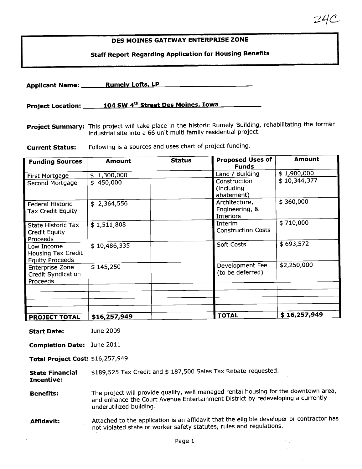## DES MOINES GATEWAY ENTERPRISE ZONE

 $Z$ 4 $C$ 

## Staff Report Regarding Application for Housing Benefits

Applicant Name: Rumely Lofts, LP

Project Location: 104 SW 4<sup>th</sup> Street Des Moines, Iowa

Project Summary: This project will take place in the historic Rumely Building, rehabilitating the former industrial site into a 66 unit multi family residential project.

Current Status: Following is a sources and uses chart of project funding.

| <b>Funding Sources</b>                                        | <b>Amount</b>    | <b>Status</b> | <b>Proposed Uses of</b><br><b>Funds</b>             | <b>Amount</b> |
|---------------------------------------------------------------|------------------|---------------|-----------------------------------------------------|---------------|
| First Mortgage                                                | 1,300,000<br>\$. |               | Land / Building                                     | \$1,900,000   |
| Second Mortgage                                               | \$450,000        |               | Construction<br>(including<br>abatement)            | \$10,344,377  |
| <b>Federal Historic</b><br><b>Tax Credit Equity</b>           | \$2,364,556      |               | Architecture,<br>Engineering, &<br><b>Interiors</b> | \$360,000     |
| <b>State Historic Tax</b><br><b>Credit Equity</b><br>Proceeds | \$1,511,808      |               | Interim<br><b>Construction Costs</b>                | \$710,000     |
| Low Income<br>Housing Tax Credit<br><b>Equity Proceeds</b>    | \$10,486,335     |               | <b>Soft Costs</b>                                   | \$693,572     |
| <b>Enterprise Zone</b><br>Credit Syndication<br>Proceeds      | \$145,250        |               | Development Fee<br>(to be deferred)                 | \$2,250,000   |
|                                                               |                  |               |                                                     |               |
|                                                               |                  |               |                                                     |               |
|                                                               |                  |               |                                                     |               |
|                                                               |                  |               |                                                     |               |
| <b>PROJECT TOTAL</b>                                          | \$16,257,949     |               | <b>TOTAL</b>                                        | \$16,257,949  |

Start Date: June 2009

Completion Date: June 2011

Total Project Cost: \$16,257,949

State Financial \$189,525 Tax Credit and \$ 187,500 Sales Tax Rebate requested.

Incentive:

**Benefits:** The project will provide quality, well managed rental housing for the downtown area, and enhance the Court Avenue Entertainment District by redeveloping a currently underutilized building.

Affidavit: Attached to the application is an affidavit that the eligible developer or contractor has not violated state or worker safety statutes, rules and regulations.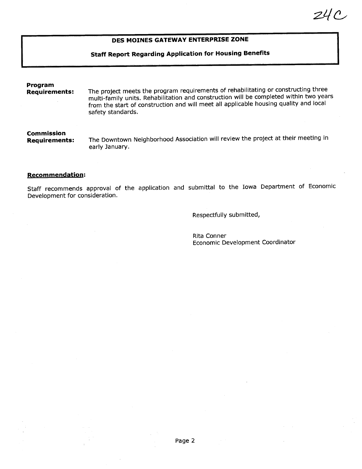## DES MOINES GATEWAY ENTERPRISE ZONE

### Staff Report Regarding Application for Housing Benefits

## Program<br>Requirements: The project meets the program requirements of rehabilitating or constructing three multi-family units. Rehabilitation and construction will be completed within two years from the start of construction and will meet all applicable housing quality and local safety standards. Commission

The Downtown Neighborhood Association will review the project at their meeting in early January.

#### Recommendation:

Staff recommends approval of the application and submittal to the Iowa Department of Economic Development for consideration.

Respectfully submitted,

Rita Conner Economic Development Coordinator